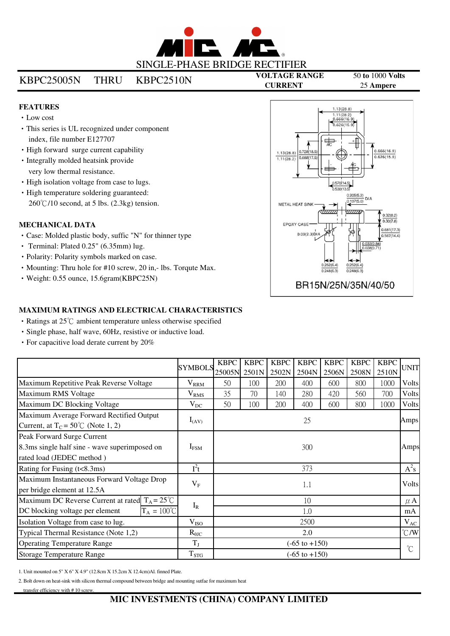

# KBPC25005N THRU KBPC2510N

**VOLTAGE RANGE** 50 **to** 1000 **Volts CURRENT** 25 **Ampere**

### **FEATURES**

- Low cost
- This series is UL recognized under component index, file number E127707
- High forward surge current capability
- Integrally molded heatsink provide very low thermal resistance.
- $\cdot$  High isolation voltage from case to lugs.
- High temperature soldering guaranteed:  $260^{\circ}$ C/10 second, at 5 lbs. (2.3kg) tension.

## **MECHANICAL DATA**

- Case: Molded plastic body, suffic "N" for thinner type
- Terminal: Plated 0.25" (6.35mm) lug.
- Polarity: Polarity symbols marked on case.
- Mounting: Thru hole for #10 screw, 20 in,- lbs. Torqute Max.
- Weight: 0.55 ounce, 15.6gram(KBPC25N)



#### **MAXIMUM RATINGS AND ELECTRICAL CHARACTERISTICS**

- Ratings at 25°C ambient temperature unless otherwise specified
- Single phase, half wave, 60Hz, resistive or inductive load.
- For capacitive load derate current by 20%

|                                                                                                          | <b>SYMBOLS</b>   | <b>KBPC</b>              | <b>KBPC</b> | <b>KBPC</b> | <b>KBPC</b> | <b>KBPC</b> | <b>KBPC</b> | <b>KBPC</b> | <b>UNIT</b>          |
|----------------------------------------------------------------------------------------------------------|------------------|--------------------------|-------------|-------------|-------------|-------------|-------------|-------------|----------------------|
|                                                                                                          |                  | 25005N 2501N             |             | 2502N       | 2504N       | 2506N       | 2508N       | 2510N       |                      |
| Maximum Repetitive Peak Reverse Voltage                                                                  | $V_{\rm RRM}$    | 50                       | 100         | 200         | 400         | 600         | 800         | 1000        | Volts                |
| Maximum RMS Voltage                                                                                      | $\rm V_{RMS}$    | 35                       | 70          | 140         | 280         | 420         | 560         | 700         | Volts                |
| Maximum DC Blocking Voltage                                                                              | $V_{DC}$         | 50                       | 100         | 200         | 400         | 600         | 800         | 1000        | <b>Volts</b>         |
| Maximum Average Forward Rectified Output<br>Current, at $T_c = 50^{\circ}$ (Note 1, 2)                   | $I_{(AV)}$       | 25                       |             |             |             |             |             |             | Amps                 |
| Peak Forward Surge Current<br>8.3ms single half sine - wave superimposed on<br>rated load (JEDEC method) | $I_{\rm{FSM}}$   | 300                      |             |             |             |             |             |             | Amps                 |
| Rating for Fusing (t<8.3ms)                                                                              | $I^2t$           | 373                      |             |             |             |             |             | $A^2s$      |                      |
| Maximum Instantaneous Forward Voltage Drop<br>per bridge element at 12.5A                                | $V_{F}$          | 1.1                      |             |             |             |             |             |             | Volts                |
| Maximum DC Reverse Current at rated $T_A = 25^{\circ}C$                                                  |                  | 10                       |             |             |             |             |             |             | $\mu$ A              |
| $T_A = 100^{\circ}C$<br>DC blocking voltage per element                                                  | $I_R$            | 1.0                      |             |             |             |             |             |             | mA                   |
| Isolation Voltage from case to lug.                                                                      | V <sub>ISO</sub> | 2500                     |             |             |             |             |             | $V_{AC}$    |                      |
| Typical Thermal Resistance (Note 1,2)                                                                    | $R_{\theta$ JC   | 2.0                      |             |             |             |             |             |             | $\mathrm{C/W}$       |
| <b>Operating Temperature Range</b>                                                                       | $T_{J}$          | $(-65 \text{ to } +150)$ |             |             |             |             |             |             | $\mathrm{C}^{\circ}$ |
| <b>Storage Temperature Range</b>                                                                         | $T_{\rm STG}$    | $(-65 \text{ to } +150)$ |             |             |             |             |             |             |                      |

1. Unit mounted on 5" X 6" X 4.9" (12.8cm X 15.2cm X 12.4cm)Al. finned Plate.

2. Bolt down on heat-sink with silicon thermal compound between bridge and mounting sutfae for maximum heat

transfer efficiency with #10 screw